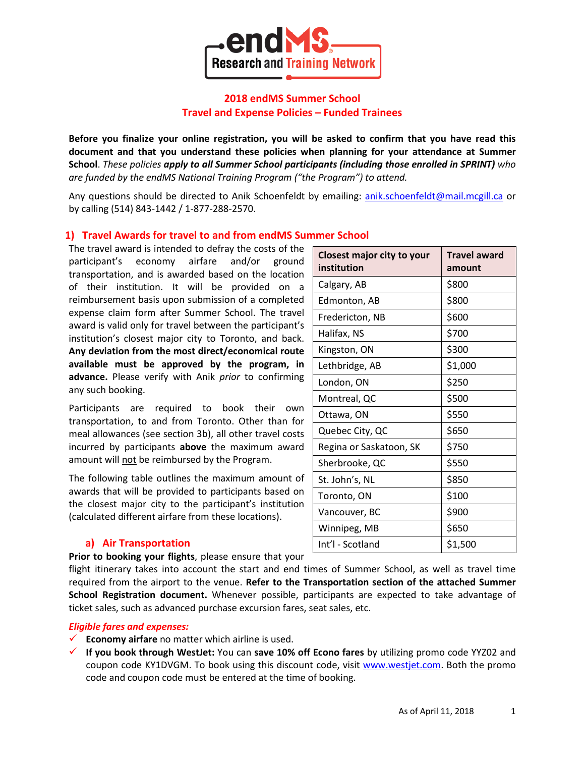

# **2018 endMS Summer School Travel and Expense Policies – Funded Trainees**

**Before you finalize your online registration, you will be asked to confirm that you have read this document and that you understand these policies when planning for your attendance at Summer School**. *These policies apply to all Summer School participants (including those enrolled in SPRINT) who are funded by the endMS National Training Program ("the Program") to attend.*

Any questions should be directed to Anik Schoenfeldt by emailing: [anik.schoenfeldt@mail.mcgill.ca](mailto:anik.schoenfeldt@mail.mcgill.ca) or by calling (514) 843-1442 / 1-877-288-2570.

# **1) Travel Awards for travel to and from endMS Summer School**

The travel award is intended to defray the costs of the participant's economy airfare and/or ground transportation, and is awarded based on the location of their institution. It will be provided on a reimbursement basis upon submission of a completed expense claim form after Summer School. The travel award is valid only for travel between the participant's institution's closest major city to Toronto, and back. **Any deviation from the most direct/economical route available must be approved by the program, in advance.** Please verify with Anik *prior* to confirming any such booking.

Participants are required to book their own transportation, to and from Toronto. Other than for meal allowances (see section 3b), all other travel costs incurred by participants **above** the maximum award amount will not be reimbursed by the Program.

The following table outlines the maximum amount of awards that will be provided to participants based on the closest major city to the participant's institution (calculated different airfare from these locations).

## **a) Air Transportation**

**Prior to booking your flights**, please ensure that your

flight itinerary takes into account the start and end times of Summer School, as well as travel time required from the airport to the venue. **Refer to the Transportation section of the attached Summer School Registration document.** Whenever possible, participants are expected to take advantage of ticket sales, such as advanced purchase excursion fares, seat sales, etc.

#### *Eligible fares and expenses:*

- **Economy airfare** no matter which airline is used.
- **If you book through WestJet:** You can **save 10% off Econo fares** by utilizing promo code YYZ02 and coupon code KY1DVGM. To book using this discount code, visit [www.westjet.com.](http://www.westjet.com/) Both the promo code and coupon code must be entered at the time of booking.

| <b>Closest major city to your</b><br>institution | <b>Travel award</b><br>amount |
|--------------------------------------------------|-------------------------------|
| Calgary, AB                                      | \$800                         |
| Edmonton, AB                                     | \$800                         |
| Fredericton, NB                                  | \$600                         |
| Halifax, NS                                      | \$700                         |
| Kingston, ON                                     | \$300                         |
| Lethbridge, AB                                   | \$1,000                       |
| London, ON                                       | \$250                         |
| Montreal, QC                                     | \$500                         |
| Ottawa, ON                                       | \$550                         |
| Quebec City, QC                                  | \$650                         |
| Regina or Saskatoon, SK                          | \$750                         |
| Sherbrooke, QC                                   | \$550                         |
| St. John's, NL                                   | \$850                         |
| Toronto, ON                                      | \$100                         |
| Vancouver, BC                                    | \$900                         |
| Winnipeg, MB                                     | \$650                         |
| Int'l - Scotland                                 | \$1,500                       |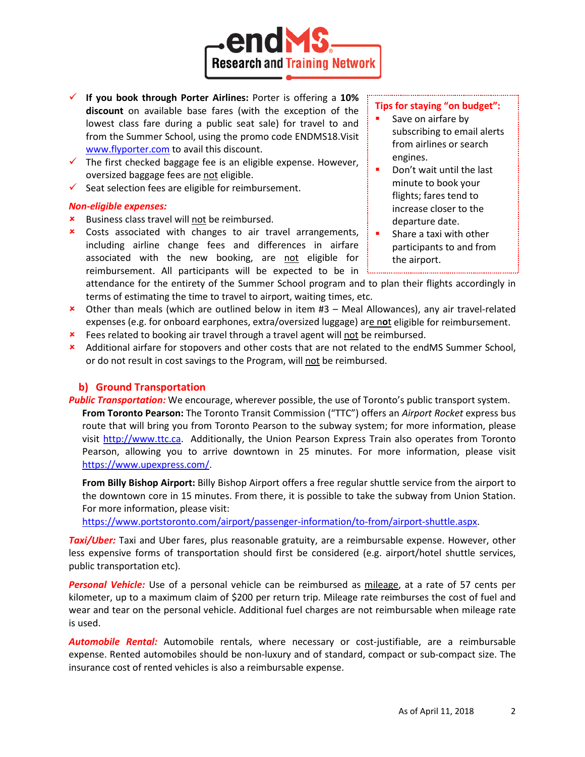

- **If you book through Porter Airlines:** Porter is offering a **10% discount** on available base fares (with the exception of the lowest class fare during a public seat sale) for travel to and from the Summer School, using the promo code ENDMS18.Visit [www.flyporter.com](https://flyporter.com/Flight?culture=en-CA&promocode=ENDMS7) to avail this discount.
- $\checkmark$  The first checked baggage fee is an eligible expense. However, oversized baggage fees are not eligible.
- $\checkmark$  Seat selection fees are eligible for reimbursement.

### *Non-eligible expenses:*

- **\*** Business class travel will not be reimbursed.
- Costs associated with changes to air travel arrangements, including airline change fees and differences in airfare associated with the new booking, are not eligible for reimbursement. All participants will be expected to be in  $\frac{1}{2}$

### **Tips for staying "on budget":**

- Save on airfare by subscribing to email alerts from airlines or search engines.
- Don't wait until the last minute to book your flights; fares tend to increase closer to the departure date.
- Share a taxi with other participants to and from the airport.
- attendance for the entirety of the Summer School program and to plan their flights accordingly in terms of estimating the time to travel to airport, waiting times, etc.
- Other than meals (which are outlined below in item #3 Meal Allowances), any air travel-related expenses (e.g. for onboard earphones, extra/oversized luggage) are n**o**t eligible for reimbursement.
- **\*** Fees related to booking air travel through a travel agent will not be reimbursed.
- Additional airfare for stopovers and other costs that are not related to the endMS Summer School, or do not result in cost savings to the Program, will not be reimbursed.

# **b) Ground Transportation**

- *Public Transportation:* We encourage, wherever possible, the use of Toronto's public transport system.
	- **From Toronto Pearson:** The Toronto Transit Commission ("TTC") offers an *Airport Rocket* express bus route that will bring you from Toronto Pearson to the subway system; for more information, please visit [http://www.ttc.ca.](http://www.ttc.ca/) Additionally, the Union Pearson Express Train also operates from Toronto Pearson, allowing you to arrive downtown in 25 minutes. For more information, please visit [https://www.upexpress.com/.](https://www.upexpress.com/)

**From Billy Bishop Airport:** Billy Bishop Airport offers a free regular shuttle service from the airport to the downtown core in 15 minutes. From there, it is possible to take the subway from Union Station. For more information, please visit:

[https://www.portstoronto.com/airport/passenger-information/to-from/airport-shuttle.aspx.](https://www.portstoronto.com/airport/passenger-information/to-from/airport-shuttle.aspx)

*Taxi/Uber:* Taxi and Uber fares, plus reasonable gratuity, are a reimbursable expense. However, other less expensive forms of transportation should first be considered (e.g. airport/hotel shuttle services, public transportation etc).

*Personal Vehicle:* Use of a personal vehicle can be reimbursed as mileage, at a rate of 57 cents per kilometer, up to a maximum claim of \$200 per return trip. Mileage rate reimburses the cost of fuel and wear and tear on the personal vehicle. Additional fuel charges are not reimbursable when mileage rate is used.

*Automobile Rental:* Automobile rentals, where necessary or cost-justifiable, are a reimbursable expense. Rented automobiles should be non-luxury and of standard, compact or sub-compact size. The insurance cost of rented vehicles is also a reimbursable expense.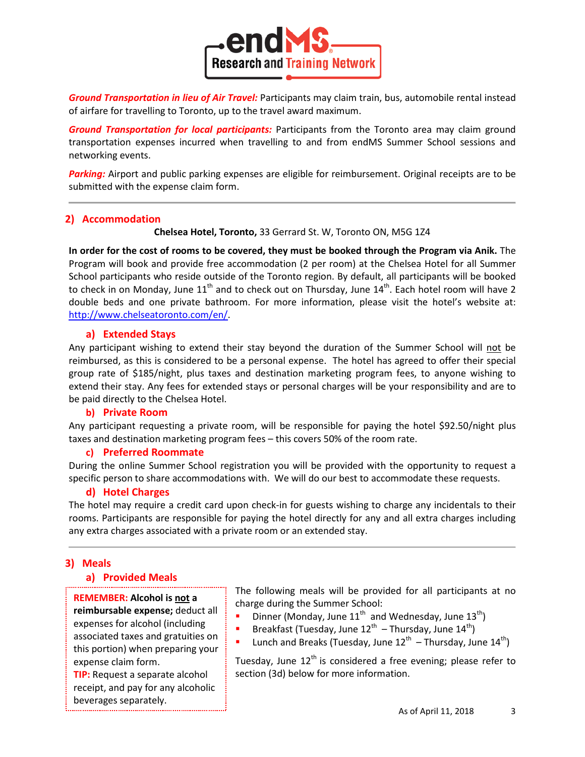

*Ground Transportation in lieu of Air Travel:* Participants may claim train, bus, automobile rental instead of airfare for travelling to Toronto, up to the travel award maximum.

*Ground Transportation for local participants:* Participants from the Toronto area may claim ground transportation expenses incurred when travelling to and from endMS Summer School sessions and networking events.

*Parking:* Airport and public parking expenses are eligible for reimbursement. Original receipts are to be submitted with the expense claim form.

## **2) Accommodation**

**Chelsea Hotel, Toronto,** 33 Gerrard St. W, Toronto ON, M5G 1Z4

**In order for the cost of rooms to be covered, they must be booked through the Program via Anik.** The Program will book and provide free accommodation (2 per room) at the Chelsea Hotel for all Summer School participants who reside outside of the Toronto region. By default, all participants will be booked to check in on Monday, June  $11<sup>th</sup>$  and to check out on Thursday, June  $14<sup>th</sup>$ . Each hotel room will have 2 double beds and one private bathroom. For more information, please visit the hotel's website at: [http://www.chelseatoronto.com/en/.](http://www.chelseatoronto.com/en/)

## **a) Extended Stays**

Any participant wishing to extend their stay beyond the duration of the Summer School will not be reimbursed, as this is considered to be a personal expense. The hotel has agreed to offer their special group rate of \$185/night, plus taxes and destination marketing program fees, to anyone wishing to extend their stay. Any fees for extended stays or personal charges will be your responsibility and are to be paid directly to the Chelsea Hotel.

## **b) Private Room**

Any participant requesting a private room, will be responsible for paying the hotel \$92.50/night plus taxes and destination marketing program fees – this covers 50% of the room rate.

## **c) Preferred Roommate**

During the online Summer School registration you will be provided with the opportunity to request a specific person to share accommodations with. We will do our best to accommodate these requests.

# **d) Hotel Charges**

The hotel may require a credit card upon check-in for guests wishing to charge any incidentals to their rooms. Participants are responsible for paying the hotel directly for any and all extra charges including any extra charges associated with a private room or an extended stay.

# **3) Meals**

## **a) Provided Meals**

**REMEMBER: Alcohol is not a reimbursable expense;** deduct all expenses for alcohol (including associated taxes and gratuities on this portion) when preparing your expense claim form.

**TIP:** Request a separate alcohol receipt, and pay for any alcoholic beverages separately.

The following meals will be provided for all participants at no charge during the Summer School:

- Dinner (Monday, June  $11^{th}$  and Wednesday, June  $13^{th}$ )
- **Breakfast (Tuesday, June 12<sup>th</sup> Thursday, June 14<sup>th</sup>)**
- Lunch and Breaks (Tuesday, June  $12^{th}$  Thursday, June  $14^{th}$ )

Tuesday, June  $12<sup>th</sup>$  is considered a free evening; please refer to section (3d) below for more information.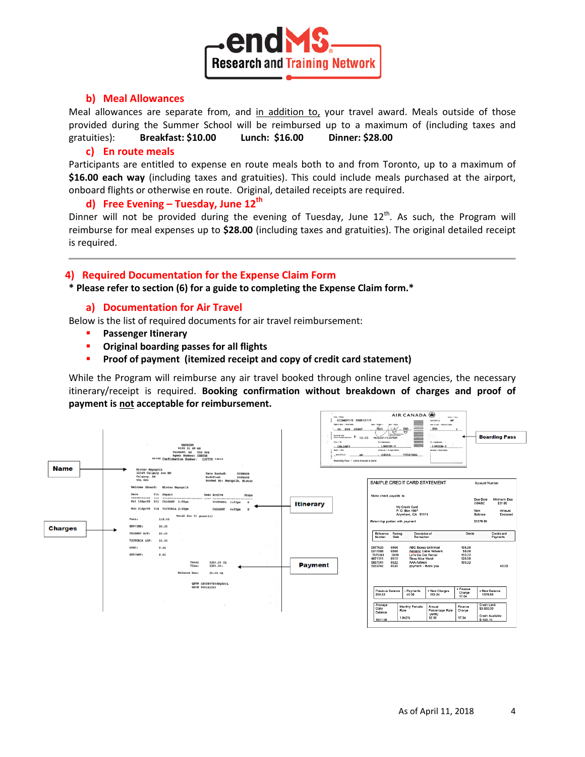

## **b) Meal Allowances**

Meal allowances are separate from, and in addition to, your travel award. Meals outside of those provided during the Summer School will be reimbursed up to a maximum of (including taxes and gratuities): **Breakfast: \$10.00 Lunch: \$16.00 Dinner: \$28.00**

#### **c) En route meals**

Participants are entitled to expense en route meals both to and from Toronto, up to a maximum of **\$16.00 each way** (including taxes and gratuities). This could include meals purchased at the airport, onboard flights or otherwise en route. Original, detailed receipts are required.

### **d) Free Evening – Tuesday, June 12th**

Dinner will not be provided during the evening of Tuesday, June  $12<sup>th</sup>$ . As such, the Program will reimburse for meal expenses up to **\$28.00** (including taxes and gratuities). The original detailed receipt is required.

#### **4) Required Documentation for the Expense Claim Form**

**\* Please refer to section (6) for a guide to completing the Expense Claim form.\***

### **a) Documentation for Air Travel**

Below is the list of required documents for air travel reimbursement:

- **Passenger Itinerary**
- **Original boarding passes for all flights**
- **Proof of payment (itemized receipt and copy of credit card statement)**

While the Program will reimburse any air travel booked through online travel agencies, the necessary itinerary/receipt is required. **Booking confirmation without breakdown of charges and proof of payment is not acceptable for reimbursement.**

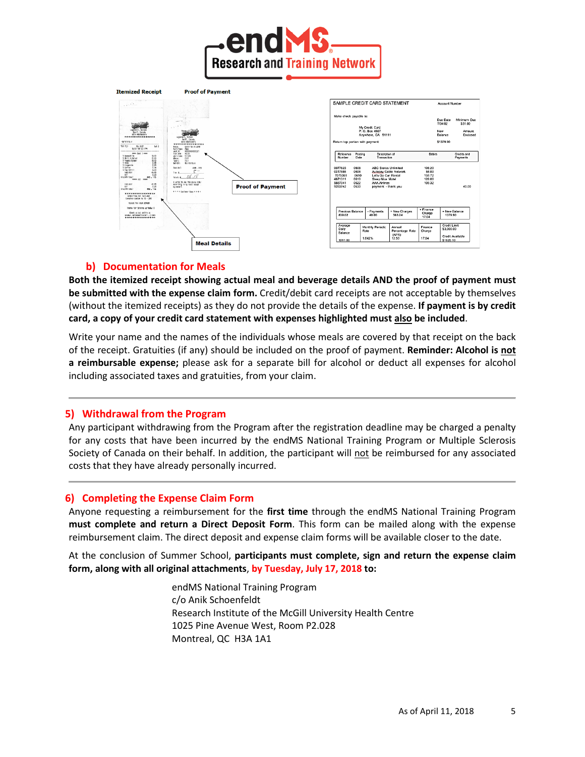



### **b) Documentation for Meals**

**Both the itemized receipt showing actual meal and beverage details AND the proof of payment must be submitted with the expense claim form.** Credit/debit card receipts are not acceptable by themselves (without the itemized receipts) as they do not provide the details of the expense. **If payment is by credit card, a copy of your credit card statement with expenses highlighted must also be included**.

Write your name and the names of the individuals whose meals are covered by that receipt on the back of the receipt. Gratuities (if any) should be included on the proof of payment. **Reminder: Alcohol is not a reimbursable expense;** please ask for a separate bill for alcohol or deduct all expenses for alcohol including associated taxes and gratuities, from your claim.

### **5) Withdrawal from the Program**

Any participant withdrawing from the Program after the registration deadline may be charged a penalty for any costs that have been incurred by the endMS National Training Program or Multiple Sclerosis Society of Canada on their behalf. In addition, the participant will not be reimbursed for any associated costs that they have already personally incurred.

#### **6) Completing the Expense Claim Form**

Anyone requesting a reimbursement for the **first time** through the endMS National Training Program **must complete and return a Direct Deposit Form**. This form can be mailed along with the expense reimbursement claim. The direct deposit and expense claim forms will be available closer to the date.

At the conclusion of Summer School, **participants must complete, sign and return the expense claim form, along with all original attachments**, **by Tuesday, July 17, 2018 to:**

> endMS National Training Program c/o Anik Schoenfeldt Research Institute of the McGill University Health Centre 1025 Pine Avenue West, Room P2.028 Montreal, QC H3A 1A1